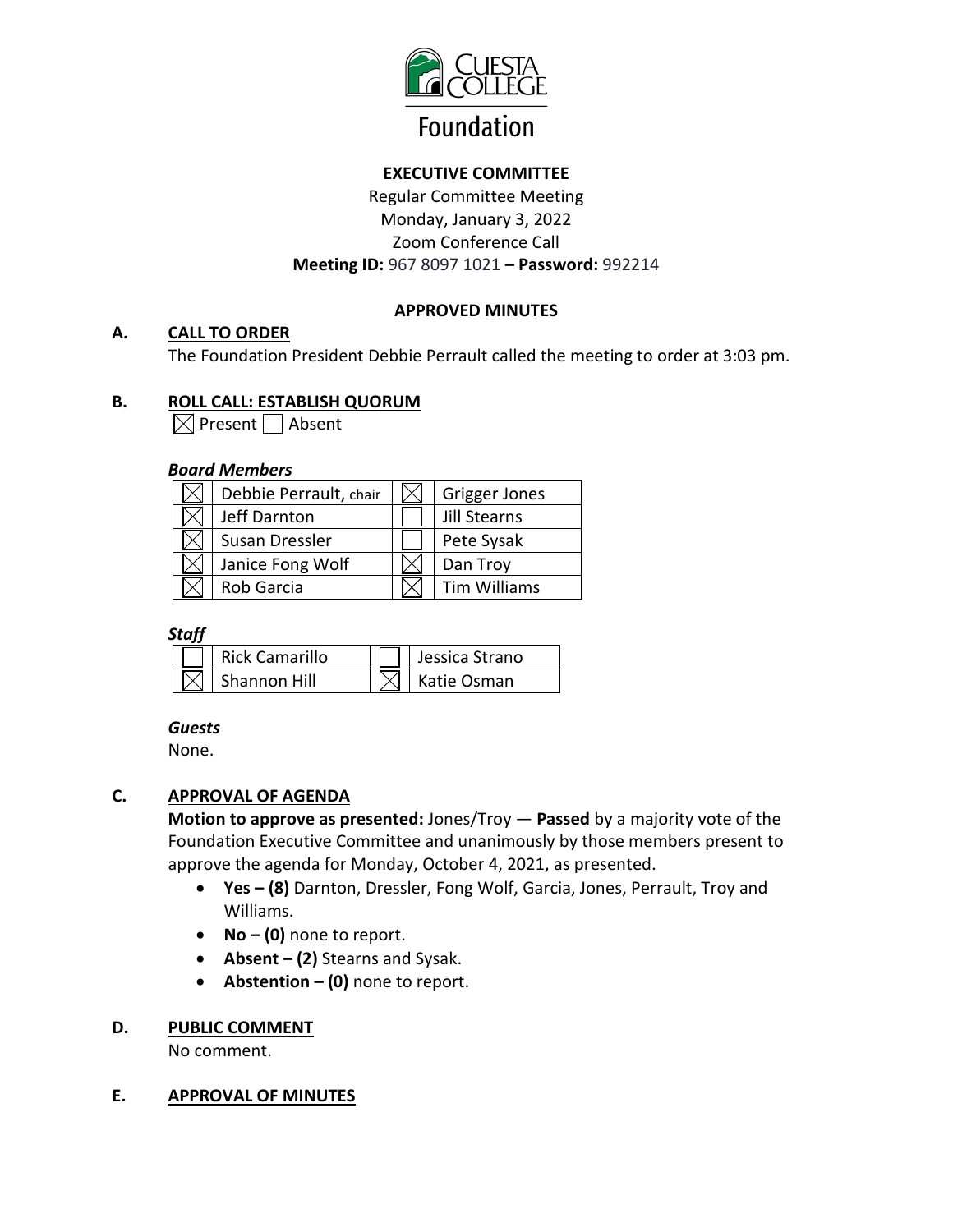

# **EXECUTIVE COMMITTEE**

Regular Committee Meeting Monday, January 3, 2022 Zoom Conference Call **Meeting ID:** 967 8097 1021 **– Password:** 992214

# **APPROVED MINUTES**

## **A. CALL TO ORDER**

The Foundation President Debbie Perrault called the meeting to order at 3:03 pm.

## **B. ROLL CALL: ESTABLISH QUORUM**

 $\bowtie$  Present | Absent

## *Board Members*

| Debbie Perrault, chair | Grigger Jones       |
|------------------------|---------------------|
| Jeff Darnton           | Jill Stearns        |
| Susan Dressler         | Pete Sysak          |
| Janice Fong Wolf       | Dan Troy            |
| Rob Garcia             | <b>Tim Williams</b> |

## *Staff*

| Rick Camarillo | $\Box$ Jessica Strano  |
|----------------|------------------------|
| Shannon Hill   | $ \times $ Katie Osman |

## *Guests*

None.

# **C. APPROVAL OF AGENDA**

**Motion to approve as presented:** Jones/Troy — **Passed** by a majority vote of the Foundation Executive Committee and unanimously by those members present to approve the agenda for Monday, October 4, 2021, as presented.

- **Yes – (8)** Darnton, Dressler, Fong Wolf, Garcia, Jones, Perrault, Troy and Williams.
- **No – (0)** none to report.
- **Absent – (2)** Stearns and Sysak.
- **Abstention – (0)** none to report.

## **D. PUBLIC COMMENT**

No comment.

## **E. APPROVAL OF MINUTES**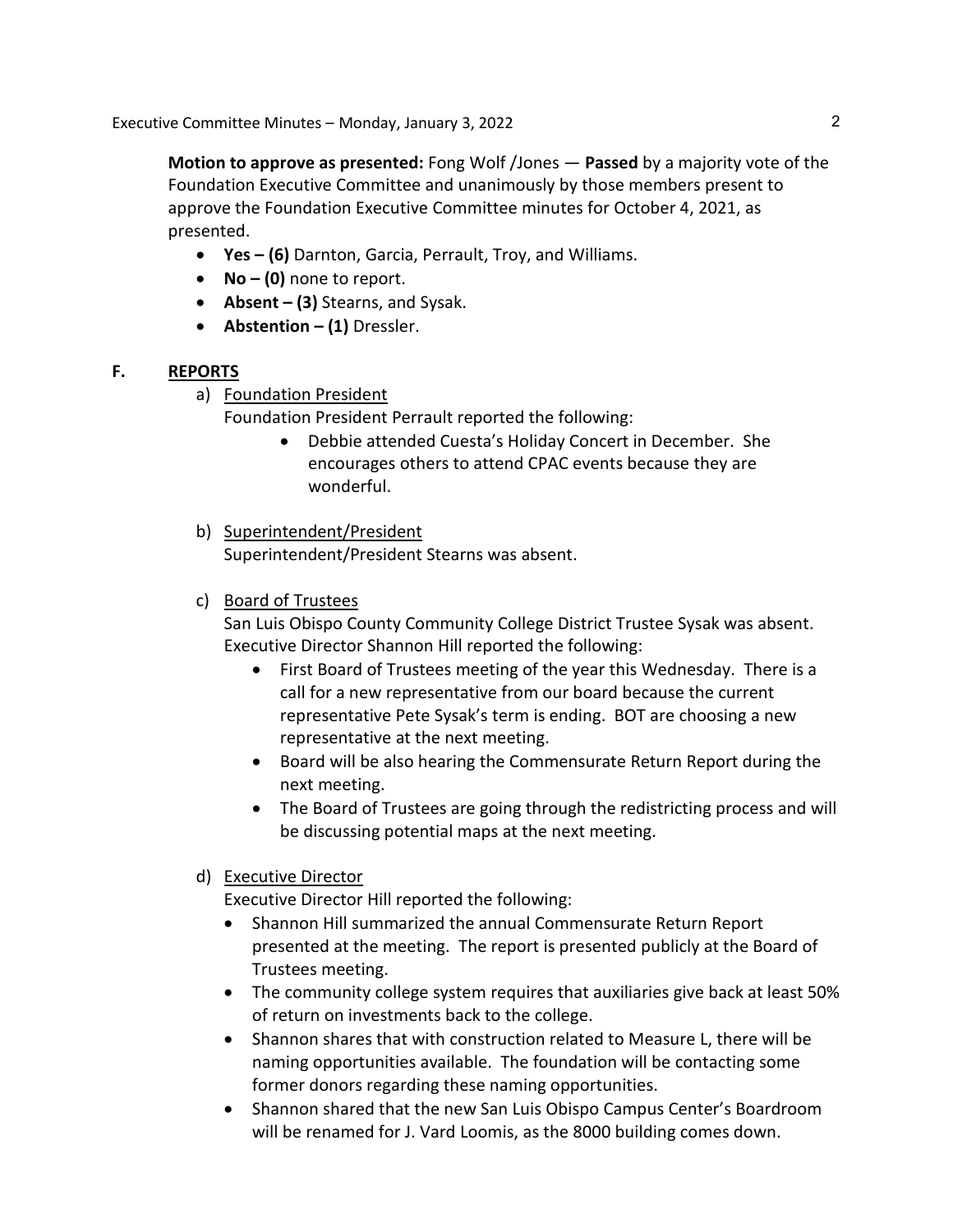Executive Committee Minutes – Monday, January 3, 2022

**Motion to approve as presented:** Fong Wolf /Jones — **Passed** by a majority vote of the Foundation Executive Committee and unanimously by those members present to approve the Foundation Executive Committee minutes for October 4, 2021, as presented.

- **Yes – (6)** Darnton, Garcia, Perrault, Troy, and Williams.
- **No – (0)** none to report.
- **Absent – (3)** Stearns, and Sysak.
- **Abstention – (1)** Dressler.

## **F. REPORTS**

a) Foundation President

Foundation President Perrault reported the following:

• Debbie attended Cuesta's Holiday Concert in December. She encourages others to attend CPAC events because they are wonderful.

## b) Superintendent/President

Superintendent/President Stearns was absent.

c) Board of Trustees

San Luis Obispo County Community College District Trustee Sysak was absent. Executive Director Shannon Hill reported the following:

- First Board of Trustees meeting of the year this Wednesday. There is a call for a new representative from our board because the current representative Pete Sysak's term is ending. BOT are choosing a new representative at the next meeting.
- Board will be also hearing the Commensurate Return Report during the next meeting.
- The Board of Trustees are going through the redistricting process and will be discussing potential maps at the next meeting.

# d) Executive Director

Executive Director Hill reported the following:

- Shannon Hill summarized the annual Commensurate Return Report presented at the meeting. The report is presented publicly at the Board of Trustees meeting.
- The community college system requires that auxiliaries give back at least 50% of return on investments back to the college.
- Shannon shares that with construction related to Measure L, there will be naming opportunities available. The foundation will be contacting some former donors regarding these naming opportunities.
- Shannon shared that the new San Luis Obispo Campus Center's Boardroom will be renamed for J. Vard Loomis, as the 8000 building comes down.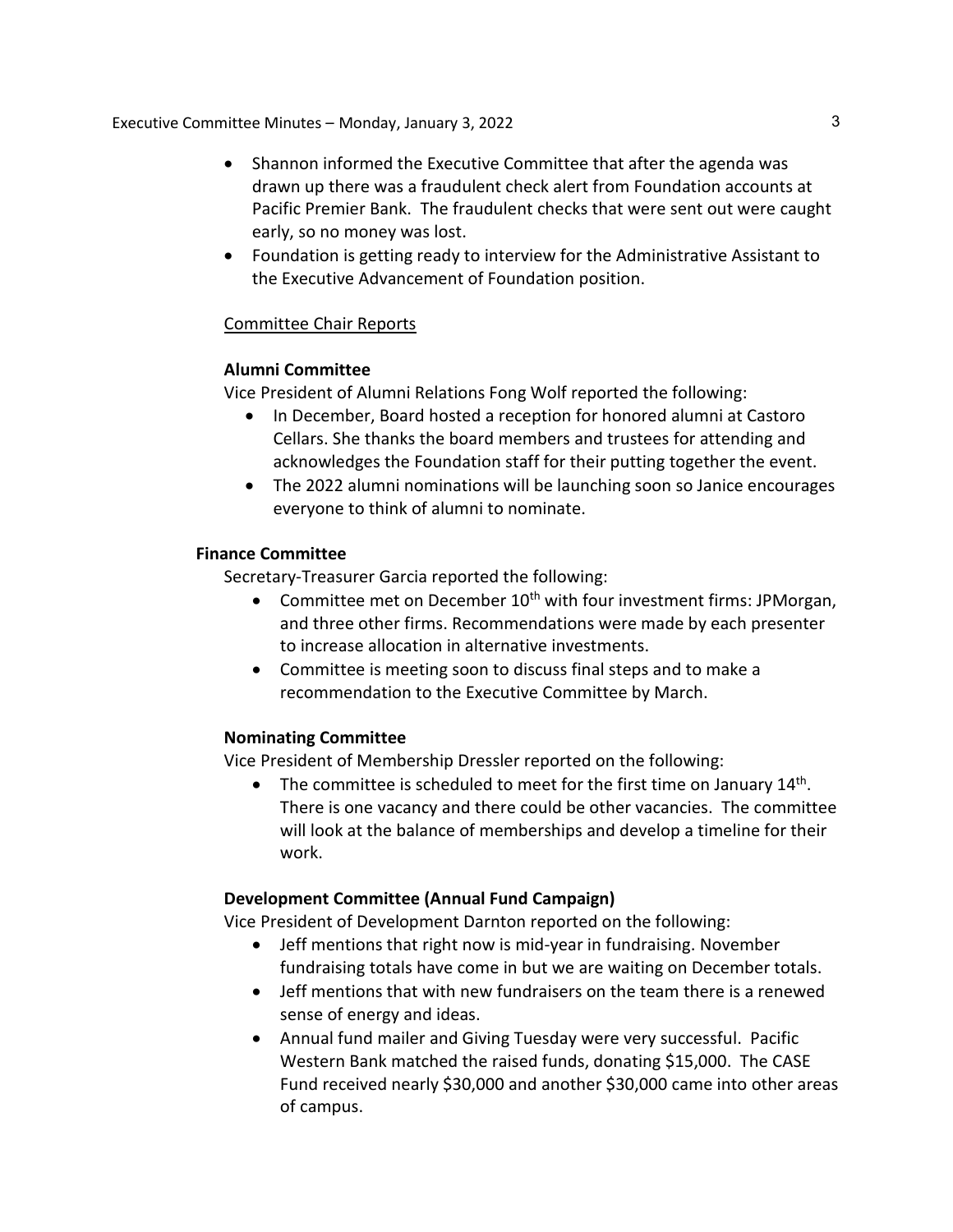Executive Committee Minutes – Monday, January 3, 2022

- Shannon informed the Executive Committee that after the agenda was drawn up there was a fraudulent check alert from Foundation accounts at Pacific Premier Bank. The fraudulent checks that were sent out were caught early, so no money was lost.
- Foundation is getting ready to interview for the Administrative Assistant to the Executive Advancement of Foundation position.

## Committee Chair Reports

#### **Alumni Committee**

Vice President of Alumni Relations Fong Wolf reported the following:

- In December, Board hosted a reception for honored alumni at Castoro Cellars. She thanks the board members and trustees for attending and acknowledges the Foundation staff for their putting together the event.
- The 2022 alumni nominations will be launching soon so Janice encourages everyone to think of alumni to nominate.

#### **Finance Committee**

Secretary-Treasurer Garcia reported the following:

- Committee met on December 10<sup>th</sup> with four investment firms: JPMorgan, and three other firms. Recommendations were made by each presenter to increase allocation in alternative investments.
- Committee is meeting soon to discuss final steps and to make a recommendation to the Executive Committee by March.

## **Nominating Committee**

Vice President of Membership Dressler reported on the following:

• The committee is scheduled to meet for the first time on January  $14<sup>th</sup>$ . There is one vacancy and there could be other vacancies. The committee will look at the balance of memberships and develop a timeline for their work.

## **Development Committee (Annual Fund Campaign)**

Vice President of Development Darnton reported on the following:

- Jeff mentions that right now is mid-year in fundraising. November fundraising totals have come in but we are waiting on December totals.
- Jeff mentions that with new fundraisers on the team there is a renewed sense of energy and ideas.
- Annual fund mailer and Giving Tuesday were very successful. Pacific Western Bank matched the raised funds, donating \$15,000. The CASE Fund received nearly \$30,000 and another \$30,000 came into other areas of campus.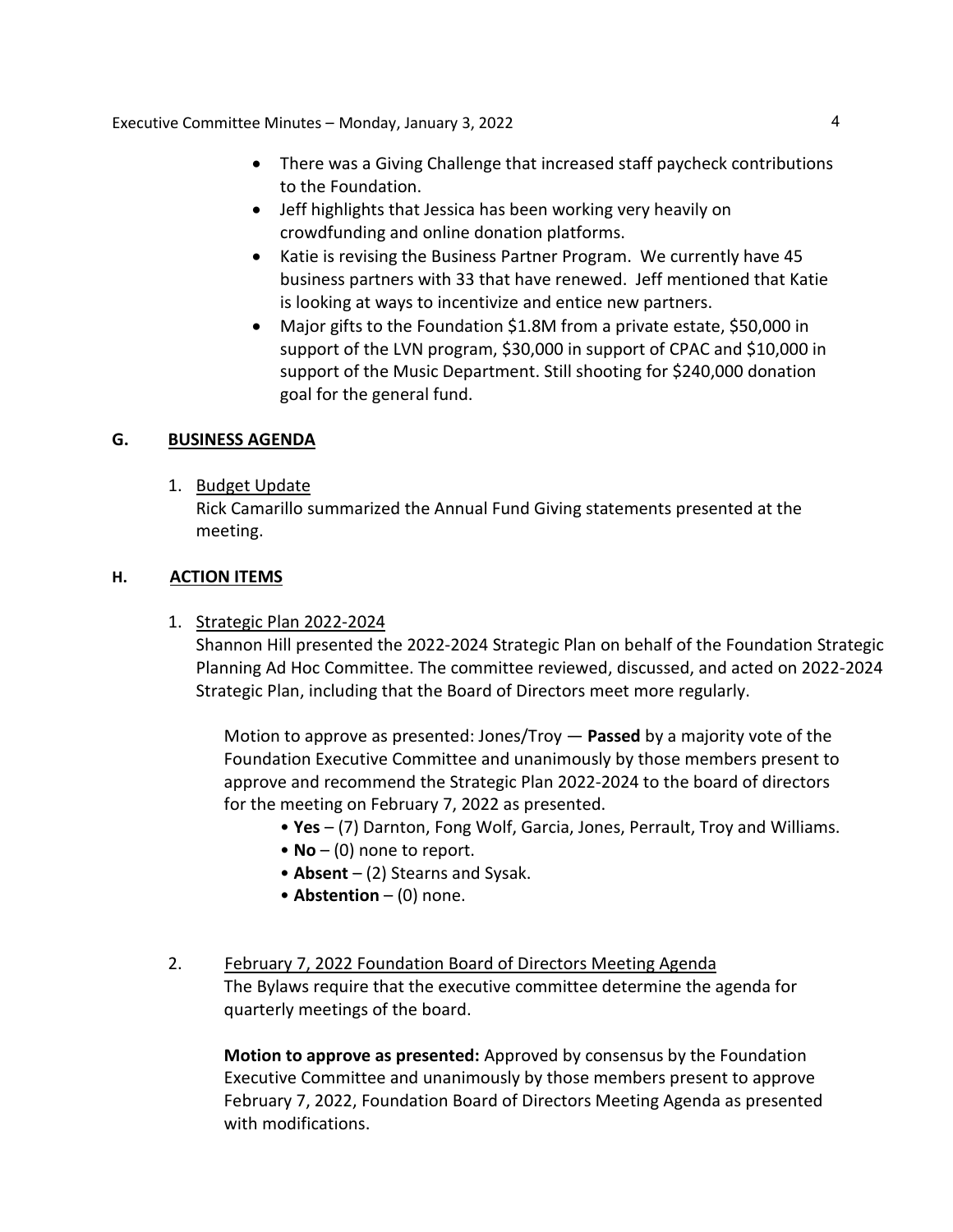Executive Committee Minutes – Monday, January 3, 2022 4

- There was a Giving Challenge that increased staff paycheck contributions to the Foundation.
- Jeff highlights that Jessica has been working very heavily on crowdfunding and online donation platforms.
- Katie is revising the Business Partner Program. We currently have 45 business partners with 33 that have renewed. Jeff mentioned that Katie is looking at ways to incentivize and entice new partners.
- Major gifts to the Foundation \$1.8M from a private estate, \$50,000 in support of the LVN program, \$30,000 in support of CPAC and \$10,000 in support of the Music Department. Still shooting for \$240,000 donation goal for the general fund.

## **G. BUSINESS AGENDA**

1. Budget Update

Rick Camarillo summarized the Annual Fund Giving statements presented at the meeting.

## **H. ACTION ITEMS**

1. Strategic Plan 2022-2024

Shannon Hill presented the 2022-2024 Strategic Plan on behalf of the Foundation Strategic Planning Ad Hoc Committee. The committee reviewed, discussed, and acted on 2022-2024 Strategic Plan, including that the Board of Directors meet more regularly.

Motion to approve as presented: Jones/Troy — **Passed** by a majority vote of the Foundation Executive Committee and unanimously by those members present to approve and recommend the Strategic Plan 2022-2024 to the board of directors for the meeting on February 7, 2022 as presented.

- **Yes** (7) Darnton, Fong Wolf, Garcia, Jones, Perrault, Troy and Williams.
- **No** (0) none to report.
- **Absent** (2) Stearns and Sysak.
- **Abstention** (0) none.
- 2. February 7, 2022 Foundation Board of Directors Meeting Agenda The Bylaws require that the executive committee determine the agenda for quarterly meetings of the board.

**Motion to approve as presented:** Approved by consensus by the Foundation Executive Committee and unanimously by those members present to approve February 7, 2022, Foundation Board of Directors Meeting Agenda as presented with modifications.